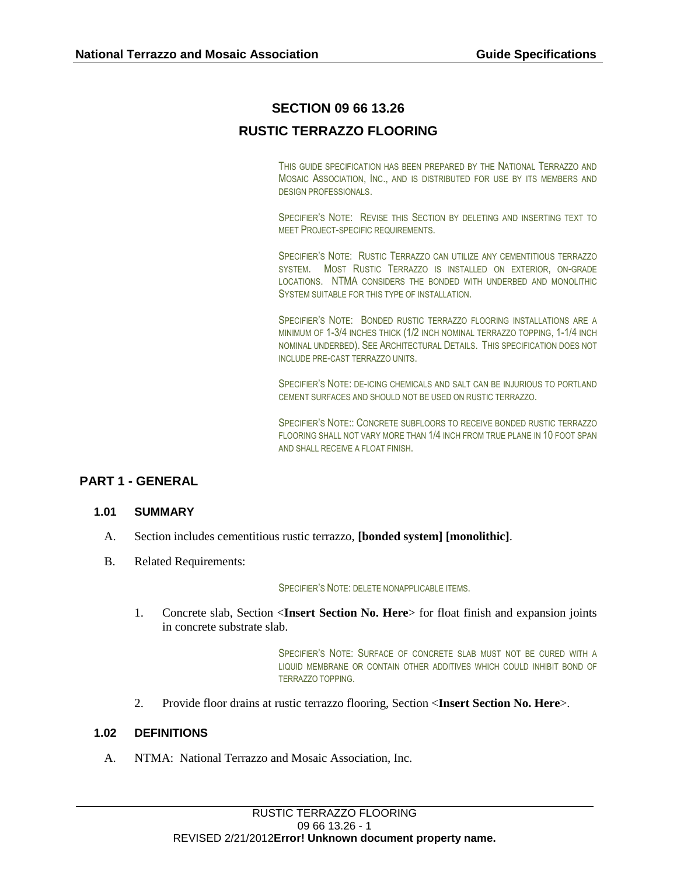# **SECTION 09 66 13.26**

# **RUSTIC TERRAZZO FLOORING**

THIS GUIDE SPECIFICATION HAS BEEN PREPARED BY THE NATIONAL TERRAZZO AND MOSAIC ASSOCIATION, INC., AND IS DISTRIBUTED FOR USE BY ITS MEMBERS AND DESIGN PROFESSIONALS.

SPECIFIER'S NOTE: REVISE THIS SECTION BY DELETING AND INSERTING TEXT TO MEET PROJECT-SPECIFIC REQUIREMENTS.

SPECIFIER'S NOTE: RUSTIC TERRAZZO CAN UTILIZE ANY CEMENTITIOUS TERRAZZO SYSTEM. MOST RUSTIC TERRAZZO IS INSTALLED ON EXTERIOR, ON-GRADE LOCATIONS. NTMA CONSIDERS THE BONDED WITH UNDERBED AND MONOLITHIC SYSTEM SUITABLE FOR THIS TYPE OF INSTALLATION.

SPECIFIER'S NOTE: BONDED RUSTIC TERRAZZO FLOORING INSTALLATIONS ARE A MINIMUM OF 1-3/4 INCHES THICK (1/2 INCH NOMINAL TERRAZZO TOPPING, 1-1/4 INCH NOMINAL UNDERBED). SEE ARCHITECTURAL DETAILS. THIS SPECIFICATION DOES NOT INCLUDE PRE-CAST TERRAZZO UNITS.

SPECIFIER'S NOTE: DE-ICING CHEMICALS AND SALT CAN BE INJURIOUS TO PORTLAND CEMENT SURFACES AND SHOULD NOT BE USED ON RUSTIC TERRAZZO.

SPECIFIER'S NOTE:: CONCRETE SUBFLOORS TO RECEIVE BONDED RUSTIC TERRAZZO FLOORING SHALL NOT VARY MORE THAN 1/4 INCH FROM TRUE PLANE IN 10 FOOT SPAN AND SHALL RECEIVE A FLOAT FINISH.

# **PART 1 - GENERAL**

### **1.01 SUMMARY**

- A. Section includes cementitious rustic terrazzo, **[bonded system] [monolithic]**.
- B. Related Requirements:

#### SPECIFIER'S NOTE: DELETE NONAPPLICABLE ITEMS.

1. Concrete slab, Section <**Insert Section No. Here**> for float finish and expansion joints in concrete substrate slab.

> SPECIFIER'S NOTE: SURFACE OF CONCRETE SLAB MUST NOT BE CURED WITH A LIQUID MEMBRANE OR CONTAIN OTHER ADDITIVES WHICH COULD INHIBIT BOND OF TERRAZZO TOPPING.

2. Provide floor drains at rustic terrazzo flooring, Section <**Insert Section No. Here**>.

### **1.02 DEFINITIONS**

A. NTMA: National Terrazzo and Mosaic Association, Inc.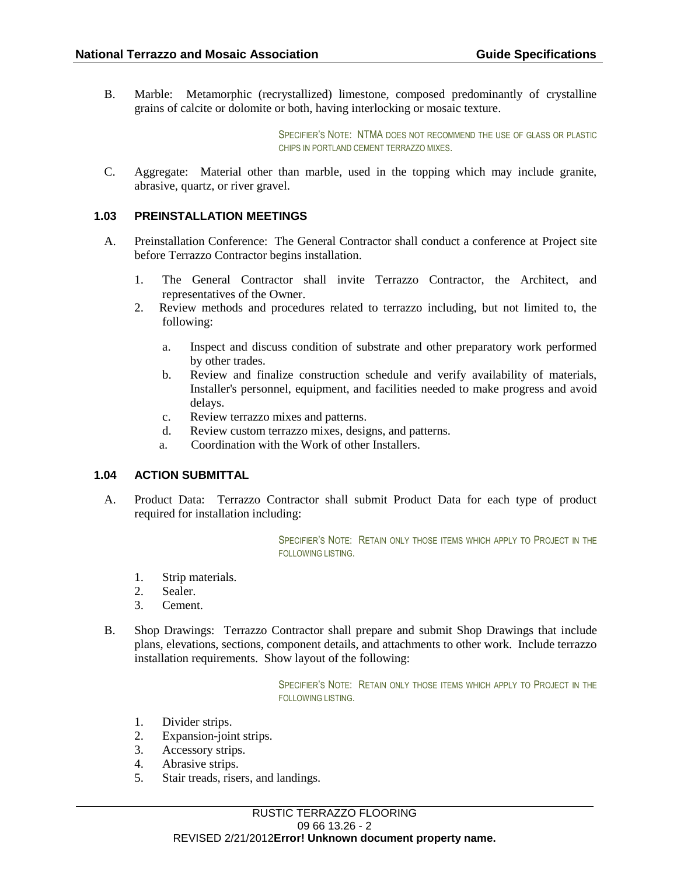B. Marble: Metamorphic (recrystallized) limestone, composed predominantly of crystalline grains of calcite or dolomite or both, having interlocking or mosaic texture.

> SPECIFIER'S NOTE: NTMA DOES NOT RECOMMEND THE USE OF GLASS OR PLASTIC CHIPS IN PORTLAND CEMENT TERRAZZO MIXES.

C. Aggregate: Material other than marble, used in the topping which may include granite, abrasive, quartz, or river gravel.

### **1.03 PREINSTALLATION MEETINGS**

- A. Preinstallation Conference: The General Contractor shall conduct a conference at Project site before Terrazzo Contractor begins installation.
	- 1. The General Contractor shall invite Terrazzo Contractor, the Architect, and representatives of the Owner.
	- 2. Review methods and procedures related to terrazzo including, but not limited to, the following:
		- a. Inspect and discuss condition of substrate and other preparatory work performed by other trades.
		- b. Review and finalize construction schedule and verify availability of materials, Installer's personnel, equipment, and facilities needed to make progress and avoid delays.
		- c. Review terrazzo mixes and patterns.
		- d. Review custom terrazzo mixes, designs, and patterns.
		- a. Coordination with the Work of other Installers.

### **1.04 ACTION SUBMITTAL**

A. Product Data: Terrazzo Contractor shall submit Product Data for each type of product required for installation including:

> SPECIFIER'S NOTE: RETAIN ONLY THOSE ITEMS WHICH APPLY TO PROJECT IN THE FOLLOWING LISTING.

- 1. Strip materials.
- 2. Sealer.
- 3. Cement.
- B. Shop Drawings: Terrazzo Contractor shall prepare and submit Shop Drawings that include plans, elevations, sections, component details, and attachments to other work. Include terrazzo installation requirements. Show layout of the following:

SPECIFIER'S NOTE: RETAIN ONLY THOSE ITEMS WHICH APPLY TO PROJECT IN THE FOLLOWING LISTING.

- 1. Divider strips.
- 2. Expansion-joint strips.
- 3. Accessory strips.
- 4. Abrasive strips.
- 5. Stair treads, risers, and landings.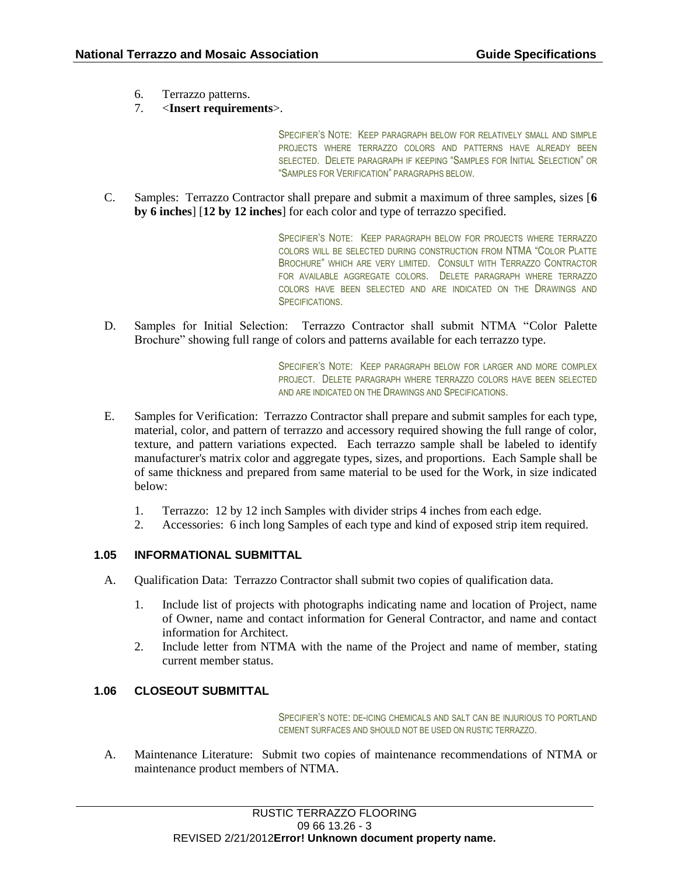- 6. Terrazzo patterns.
- 7. <**Insert requirements**>.

SPECIFIER'S NOTE: KEEP PARAGRAPH BELOW FOR RELATIVELY SMALL AND SIMPLE PROJECTS WHERE TERRAZZO COLORS AND PATTERNS HAVE ALREADY BEEN SELECTED. DELETE PARAGRAPH IF KEEPING "SAMPLES FOR INITIAL SELECTION" OR "SAMPLES FOR VERIFICATION" PARAGRAPHS BELOW.

C. Samples: Terrazzo Contractor shall prepare and submit a maximum of three samples, sizes [**6 by 6 inches**] [**12 by 12 inches**] for each color and type of terrazzo specified.

> SPECIFIER'S NOTE: KEEP PARAGRAPH BELOW FOR PROJECTS WHERE TERRAZZO COLORS WILL BE SELECTED DURING CONSTRUCTION FROM NTMA "COLOR PLATTE BROCHURE" WHICH ARE VERY LIMITED. CONSULT WITH TERRAZZO CONTRACTOR FOR AVAILABLE AGGREGATE COLORS. DELETE PARAGRAPH WHERE TERRAZZO COLORS HAVE BEEN SELECTED AND ARE INDICATED ON THE DRAWINGS AND **SPECIFICATIONS**

D. Samples for Initial Selection: Terrazzo Contractor shall submit NTMA "Color Palette Brochure" showing full range of colors and patterns available for each terrazzo type.

> SPECIFIER'S NOTE: KEEP PARAGRAPH BELOW FOR LARGER AND MORE COMPLEX PROJECT. DELETE PARAGRAPH WHERE TERRAZZO COLORS HAVE BEEN SELECTED AND ARE INDICATED ON THE DRAWINGS AND SPECIFICATIONS.

- E. Samples for Verification: Terrazzo Contractor shall prepare and submit samples for each type, material, color, and pattern of terrazzo and accessory required showing the full range of color, texture, and pattern variations expected. Each terrazzo sample shall be labeled to identify manufacturer's matrix color and aggregate types, sizes, and proportions. Each Sample shall be of same thickness and prepared from same material to be used for the Work, in size indicated below:
	- 1. Terrazzo: 12 by 12 inch Samples with divider strips 4 inches from each edge.
	- 2. Accessories: 6 inch long Samples of each type and kind of exposed strip item required.

### **1.05 INFORMATIONAL SUBMITTAL**

- A. Qualification Data: Terrazzo Contractor shall submit two copies of qualification data.
	- 1. Include list of projects with photographs indicating name and location of Project, name of Owner, name and contact information for General Contractor, and name and contact information for Architect.
	- 2. Include letter from NTMA with the name of the Project and name of member, stating current member status.

### **1.06 CLOSEOUT SUBMITTAL**

SPECIFIER'S NOTE: DE-ICING CHEMICALS AND SALT CAN BE INJURIOUS TO PORTLAND CEMENT SURFACES AND SHOULD NOT BE USED ON RUSTIC TERRAZZO.

A. Maintenance Literature: Submit two copies of maintenance recommendations of NTMA or maintenance product members of NTMA.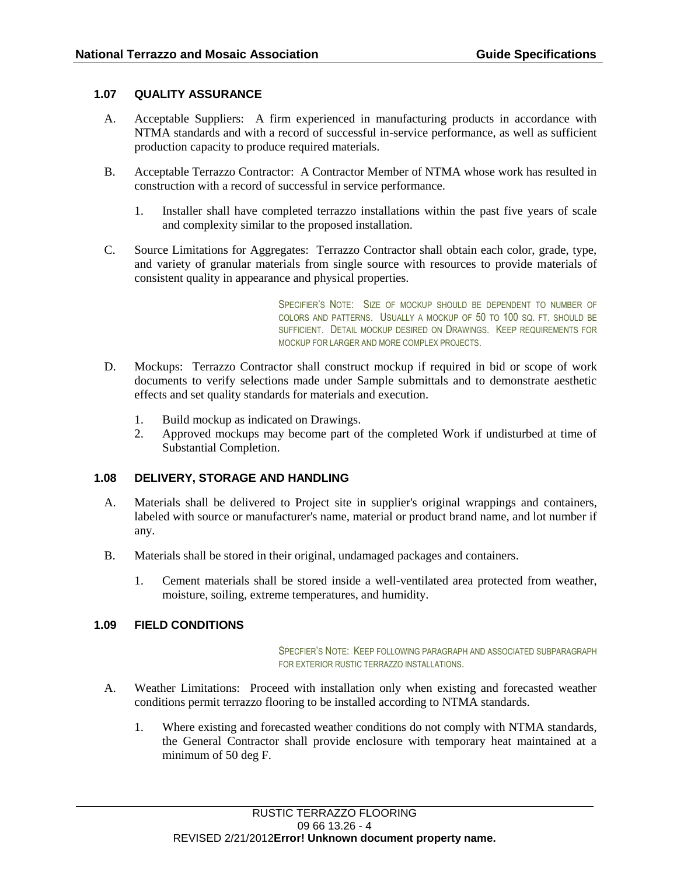### **1.07 QUALITY ASSURANCE**

- A. Acceptable Suppliers: A firm experienced in manufacturing products in accordance with NTMA standards and with a record of successful in-service performance, as well as sufficient production capacity to produce required materials.
- B. Acceptable Terrazzo Contractor: A Contractor Member of NTMA whose work has resulted in construction with a record of successful in service performance.
	- 1. Installer shall have completed terrazzo installations within the past five years of scale and complexity similar to the proposed installation.
- C. Source Limitations for Aggregates: Terrazzo Contractor shall obtain each color, grade, type, and variety of granular materials from single source with resources to provide materials of consistent quality in appearance and physical properties.

SPECIFIER'S NOTE: SIZE OF MOCKUP SHOULD BE DEPENDENT TO NUMBER OF COLORS AND PATTERNS. USUALLY A MOCKUP OF 50 TO 100 SQ. FT. SHOULD BE SUFFICIENT. DETAIL MOCKUP DESIRED ON DRAWINGS. KEEP REQUIREMENTS FOR MOCKUP FOR LARGER AND MORE COMPLEX PROJECTS.

- D. Mockups: Terrazzo Contractor shall construct mockup if required in bid or scope of work documents to verify selections made under Sample submittals and to demonstrate aesthetic effects and set quality standards for materials and execution.
	- 1. Build mockup as indicated on Drawings.
	- 2. Approved mockups may become part of the completed Work if undisturbed at time of Substantial Completion.

### **1.08 DELIVERY, STORAGE AND HANDLING**

- A. Materials shall be delivered to Project site in supplier's original wrappings and containers, labeled with source or manufacturer's name, material or product brand name, and lot number if any.
- B. Materials shall be stored in their original, undamaged packages and containers.
	- 1. Cement materials shall be stored inside a well-ventilated area protected from weather, moisture, soiling, extreme temperatures, and humidity.

### **1.09 FIELD CONDITIONS**

SPECFIER'S NOTE: KEEP FOLLOWING PARAGRAPH AND ASSOCIATED SUBPARAGRAPH FOR EXTERIOR RUSTIC TERRAZZO INSTALLATIONS.

- A. Weather Limitations: Proceed with installation only when existing and forecasted weather conditions permit terrazzo flooring to be installed according to NTMA standards.
	- 1. Where existing and forecasted weather conditions do not comply with NTMA standards, the General Contractor shall provide enclosure with temporary heat maintained at a minimum of 50 deg F.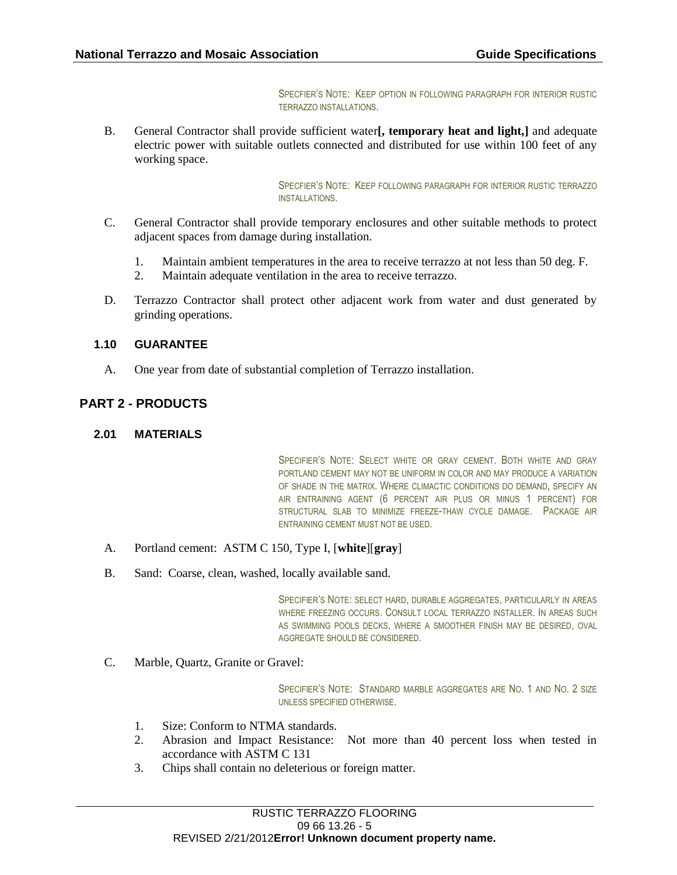SPECFIER'S NOTE: KEEP OPTION IN FOLLOWING PARAGRAPH FOR INTERIOR RUSTIC TERRAZZO INSTALLATIONS.

B. General Contractor shall provide sufficient water**[, temporary heat and light,]** and adequate electric power with suitable outlets connected and distributed for use within 100 feet of any working space.

> SPECFIER'S NOTE: KEEP FOLLOWING PARAGRAPH FOR INTERIOR RUSTIC TERRAZZO INSTALLATIONS.

- C. General Contractor shall provide temporary enclosures and other suitable methods to protect adjacent spaces from damage during installation.
	- 1. Maintain ambient temperatures in the area to receive terrazzo at not less than 50 deg. F.
	- 2. Maintain adequate ventilation in the area to receive terrazzo.
- D. Terrazzo Contractor shall protect other adjacent work from water and dust generated by grinding operations.

### **1.10 GUARANTEE**

A. One year from date of substantial completion of Terrazzo installation.

## **PART 2 - PRODUCTS**

### **2.01 MATERIALS**

SPECIFIER'S NOTE: SELECT WHITE OR GRAY CEMENT. BOTH WHITE AND GRAY PORTLAND CEMENT MAY NOT BE UNIFORM IN COLOR AND MAY PRODUCE A VARIATION OF SHADE IN THE MATRIX. WHERE CLIMACTIC CONDITIONS DO DEMAND, SPECIFY AN AIR ENTRAINING AGENT (6 PERCENT AIR PLUS OR MINUS 1 PERCENT) FOR STRUCTURAL SLAB TO MINIMIZE FREEZE-THAW CYCLE DAMAGE. PACKAGE AIR ENTRAINING CEMENT MUST NOT BE USED.

- A. Portland cement: ASTM C 150, Type I, [**white**][**gray**]
- B. Sand: Coarse, clean, washed, locally available sand.

SPECIFIER'S NOTE: SELECT HARD, DURABLE AGGREGATES, PARTICULARLY IN AREAS WHERE FREEZING OCCURS. CONSULT LOCAL TERRAZZO INSTALLER. IN AREAS SUCH AS SWIMMING POOLS DECKS, WHERE A SMOOTHER FINISH MAY BE DESIRED, OVAL AGGREGATE SHOULD BE CONSIDERED.

C. Marble, Quartz, Granite or Gravel:

SPECIFIER'S NOTE: STANDARD MARBLE AGGREGATES ARE NO. 1 AND NO. 2 SIZE UNLESS SPECIFIED OTHERWISE.

- 1. Size: Conform to NTMA standards.
- 2. Abrasion and Impact Resistance: Not more than 40 percent loss when tested in accordance with ASTM C 131
- 3. Chips shall contain no deleterious or foreign matter.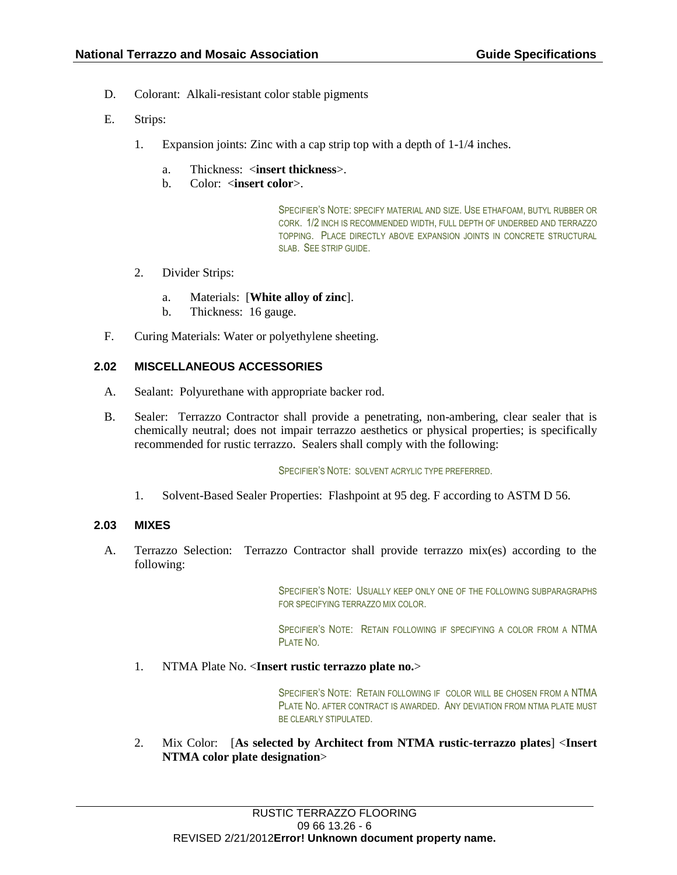- D. Colorant: Alkali-resistant color stable pigments
- E. Strips:
	- 1. Expansion joints: Zinc with a cap strip top with a depth of 1-1/4 inches.
		- a. Thickness: <**insert thickness**>.
		- b. Color: <**insert color**>.

SPECIFIER'S NOTE: SPECIFY MATERIAL AND SIZE. USE ETHAFOAM, BUTYL RUBBER OR CORK. 1/2 INCH IS RECOMMENDED WIDTH, FULL DEPTH OF UNDERBED AND TERRAZZO TOPPING. PLACE DIRECTLY ABOVE EXPANSION JOINTS IN CONCRETE STRUCTURAL SLAB. SEE STRIP GUIDE.

- 2. Divider Strips:
	- a. Materials: [**White alloy of zinc**].
	- b. Thickness: 16 gauge.
- F. Curing Materials: Water or polyethylene sheeting.

### **2.02 MISCELLANEOUS ACCESSORIES**

- A. Sealant: Polyurethane with appropriate backer rod.
- B. Sealer: Terrazzo Contractor shall provide a penetrating, non-ambering, clear sealer that is chemically neutral; does not impair terrazzo aesthetics or physical properties; is specifically recommended for rustic terrazzo. Sealers shall comply with the following:

#### SPECIFIER'S NOTE: SOLVENT ACRYLIC TYPE PREFERRED.

1. Solvent-Based Sealer Properties: Flashpoint at 95 deg. F according to ASTM D 56.

### **2.03 MIXES**

A. Terrazzo Selection: Terrazzo Contractor shall provide terrazzo mix(es) according to the following:

> SPECIFIER'S NOTE: USUALLY KEEP ONLY ONE OF THE FOLLOWING SUBPARAGRAPHS FOR SPECIFYING TERRAZZO MIX COLOR.

> SPECIFIER'S NOTE: RETAIN FOLLOWING IF SPECIFYING A COLOR FROM A NTMA PLATE NO.

1. NTMA Plate No. <**Insert rustic terrazzo plate no.**>

SPECIFIER'S NOTE: RETAIN FOLLOWING IF COLOR WILL BE CHOSEN FROM A NTMA PLATE NO. AFTER CONTRACT IS AWARDED. ANY DEVIATION FROM NTMA PLATE MUST BE CLEARLY STIPULATED.

2. Mix Color: [**As selected by Architect from NTMA rustic-terrazzo plates**] <**Insert NTMA color plate designation**>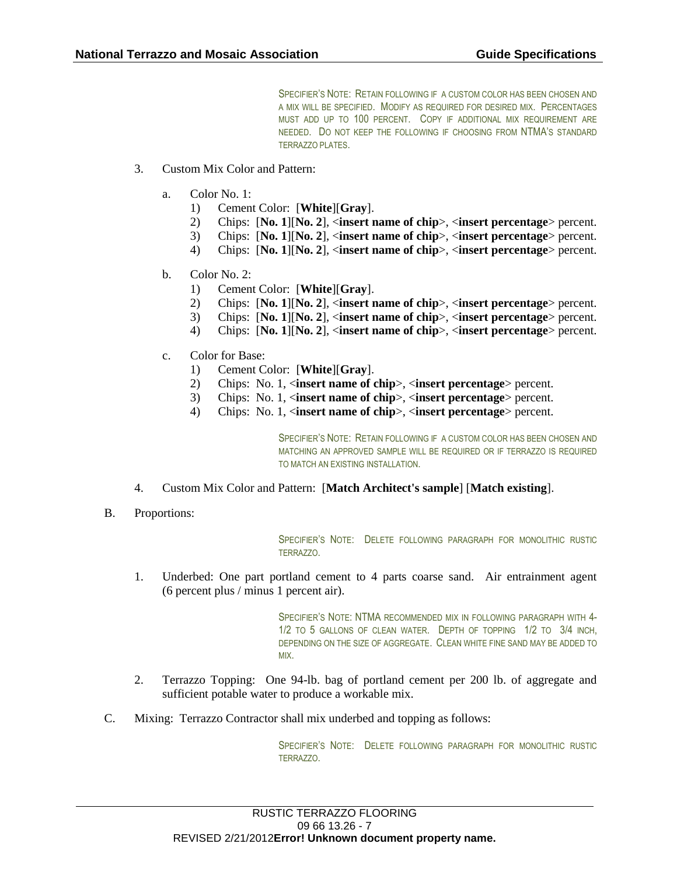SPECIFIER'S NOTE: RETAIN FOLLOWING IF A CUSTOM COLOR HAS BEEN CHOSEN AND A MIX WILL BE SPECIFIED. MODIFY AS REQUIRED FOR DESIRED MIX. PERCENTAGES MUST ADD UP TO 100 PERCENT. COPY IF ADDITIONAL MIX REQUIREMENT ARE NEEDED. DO NOT KEEP THE FOLLOWING IF CHOOSING FROM NTMA'S STANDARD TERRAZZO PLATES.

- 3. Custom Mix Color and Pattern:
	- a. Color No. 1:
		- 1) Cement Color: [**White**][**Gray**].
		- 2) Chips: [**No. 1**][**No. 2**], <**insert name of chip**>, <**insert percentage**> percent.
		- 3) Chips: [**No. 1**][**No. 2**], <**insert name of chip**>, <**insert percentage**> percent.
		- 4) Chips: [**No. 1**][**No. 2**], <**insert name of chip**>, <**insert percentage**> percent.
	- b. Color No. 2:
		- 1) Cement Color: [**White**][**Gray**].
		- 2) Chips: [**No. 1**][**No. 2**], <**insert name of chip**>, <**insert percentage**> percent.
		- 3) Chips: [**No. 1**][**No. 2**], <**insert name of chip**>, <**insert percentage**> percent.
		- 4) Chips: [**No. 1**][**No. 2**], <**insert name of chip**>, <**insert percentage**> percent.
	- c. Color for Base:
		- 1) Cement Color: [**White**][**Gray**].
		- 2) Chips: No. 1, <**insert name of chip**>, <**insert percentage**> percent.
		- 3) Chips: No. 1, <**insert name of chip**>, <**insert percentage**> percent.
		- 4) Chips: No. 1, <**insert name of chip**>, <**insert percentage**> percent.

SPECIFIER'S NOTE: RETAIN FOLLOWING IF A CUSTOM COLOR HAS BEEN CHOSEN AND MATCHING AN APPROVED SAMPLE WILL BE REQUIRED OR IF TERRAZZO IS REQUIRED TO MATCH AN EXISTING INSTALLATION.

- 4. Custom Mix Color and Pattern: [**Match Architect's sample**] [**Match existing**].
- B. Proportions:

SPECIFIER'S NOTE: DELETE FOLLOWING PARAGRAPH FOR MONOLITHIC RUSTIC TERRAZZO.

1. Underbed: One part portland cement to 4 parts coarse sand. Air entrainment agent (6 percent plus / minus 1 percent air).

> SPECIFIER'S NOTE: NTMA RECOMMENDED MIX IN FOLLOWING PARAGRAPH WITH 4- 1/2 TO 5 GALLONS OF CLEAN WATER. DEPTH OF TOPPING 1/2 TO 3/4 INCH, DEPENDING ON THE SIZE OF AGGREGATE. CLEAN WHITE FINE SAND MAY BE ADDED TO MIX.

- 2. Terrazzo Topping: One 94-lb. bag of portland cement per 200 lb. of aggregate and sufficient potable water to produce a workable mix.
- C. Mixing: Terrazzo Contractor shall mix underbed and topping as follows:

SPECIFIER'S NOTE: DELETE FOLLOWING PARAGRAPH FOR MONOLITHIC RUSTIC TERRAZZO.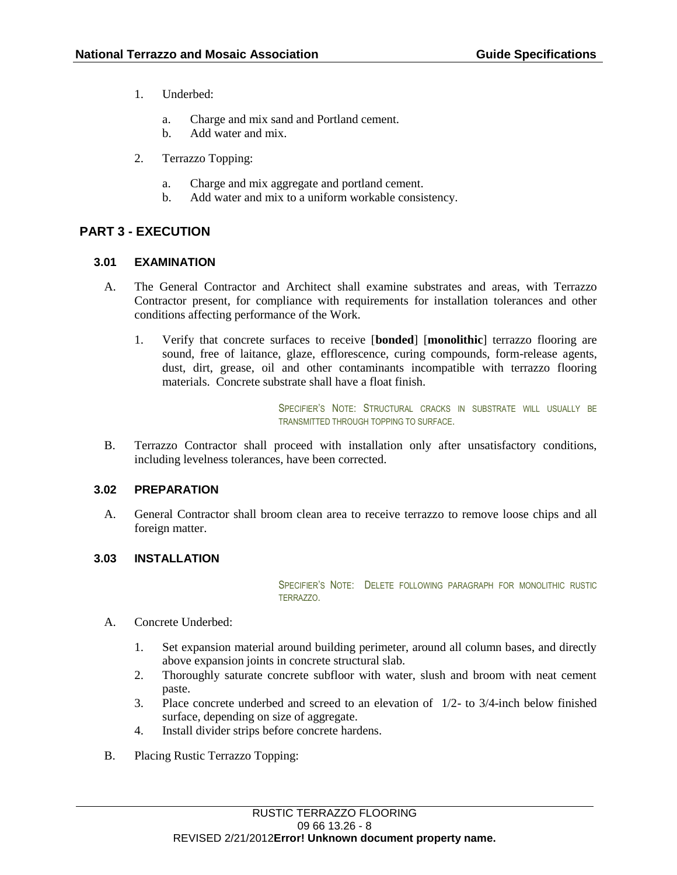- 1. Underbed:
	- a. Charge and mix sand and Portland cement.
	- b. Add water and mix.
- 2. Terrazzo Topping:
	- a. Charge and mix aggregate and portland cement.
	- b. Add water and mix to a uniform workable consistency.

## **PART 3 - EXECUTION**

### **3.01 EXAMINATION**

- A. The General Contractor and Architect shall examine substrates and areas, with Terrazzo Contractor present, for compliance with requirements for installation tolerances and other conditions affecting performance of the Work.
	- 1. Verify that concrete surfaces to receive [**bonded**] [**monolithic**] terrazzo flooring are sound, free of laitance, glaze, efflorescence, curing compounds, form-release agents, dust, dirt, grease, oil and other contaminants incompatible with terrazzo flooring materials. Concrete substrate shall have a float finish.

SPECIFIER'S NOTE: STRUCTURAL CRACKS IN SUBSTRATE WILL USUALLY BE TRANSMITTED THROUGH TOPPING TO SURFACE.

B. Terrazzo Contractor shall proceed with installation only after unsatisfactory conditions, including levelness tolerances, have been corrected.

### **3.02 PREPARATION**

A. General Contractor shall broom clean area to receive terrazzo to remove loose chips and all foreign matter.

## **3.03 INSTALLATION**

SPECIFIER'S NOTE: DELETE FOLLOWING PARAGRAPH FOR MONOLITHIC RUSTIC TERRAZZO.

- A. Concrete Underbed:
	- 1. Set expansion material around building perimeter, around all column bases, and directly above expansion joints in concrete structural slab.
	- 2. Thoroughly saturate concrete subfloor with water, slush and broom with neat cement paste.
	- 3. Place concrete underbed and screed to an elevation of 1/2- to 3/4-inch below finished surface, depending on size of aggregate.
	- 4. Install divider strips before concrete hardens.
- B. Placing Rustic Terrazzo Topping: